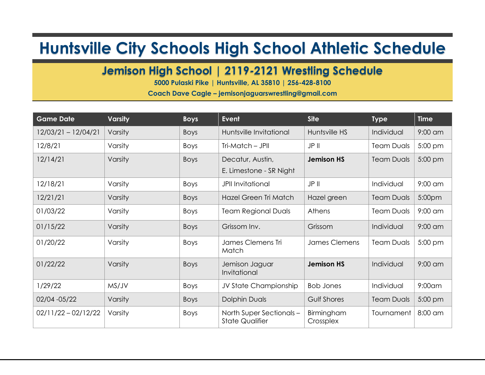## **Huntsville City Schools High School Athletic Schedule**

## **Jemison High School | 2119-2121 Wrestling Schedule**

**5000 Pulaski Pike | Huntsville, AL 35810 | 256-428-8100**

**Coach Dave Cagle – jemisonjaguarswrestling@gmail.com**

| <b>Game Date</b>      | <b>Varsity</b> | <b>Boys</b> | <b>Event</b>                                       | <b>Site</b>             | <b>Type</b>       | <b>Time</b> |
|-----------------------|----------------|-------------|----------------------------------------------------|-------------------------|-------------------|-------------|
| 12/03/21 - 12/04/21   | Varsity        | <b>Boys</b> | Huntsville Invitational                            | Huntsville HS           | Individual        | $9:00$ am   |
| 12/8/21               | Varsity        | <b>Boys</b> | Tri-Match - JPII                                   | JP II                   | <b>Team Duals</b> | 5:00 pm     |
| 12/14/21              | Varsity        | <b>Boys</b> | Decatur, Austin,<br>E. Limestone - SR Night        | <b>Jemison HS</b>       | <b>Team Duals</b> | 5:00 pm     |
| 12/18/21              | Varsity        | Boys        | <b>JPII Invitational</b>                           | JP II                   | Individual        | $9:00$ am   |
| 12/21/21              | Varsity        | <b>Boys</b> | Hazel Green Tri Match                              | Hazel green             | <b>Team Duals</b> | 5:00pm      |
| 01/03/22              | Varsity        | Boys        | <b>Team Regional Duals</b>                         | Athens                  | <b>Team Duals</b> | $9:00$ am   |
| 01/15/22              | Varsity        | <b>Boys</b> | Grissom Inv.                                       | Grissom                 | Individual        | $9:00$ am   |
| 01/20/22              | Varsity        | Boys        | James Clemens Tri<br>Match                         | James Clemens           | <b>Team Duals</b> | 5:00 pm     |
| 01/22/22              | Varsity        | <b>Boys</b> | Jemison Jaguar<br>Invitational                     | <b>Jemison HS</b>       | Individual        | $9:00$ am   |
| 1/29/22               | MS/JV          | Boys        | JV State Championship                              | <b>Bob Jones</b>        | Individual        | $9:00$ am   |
| 02/04 - 05/22         | Varsity        | <b>Boys</b> | <b>Dolphin Duals</b>                               | <b>Gulf Shores</b>      | <b>Team Duals</b> | 5:00 pm     |
| $02/11/22 - 02/12/22$ | Varsity        | <b>Boys</b> | North Super Sectionals -<br><b>State Qualifier</b> | Birmingham<br>Crossplex | Tournament        | 8:00 am     |